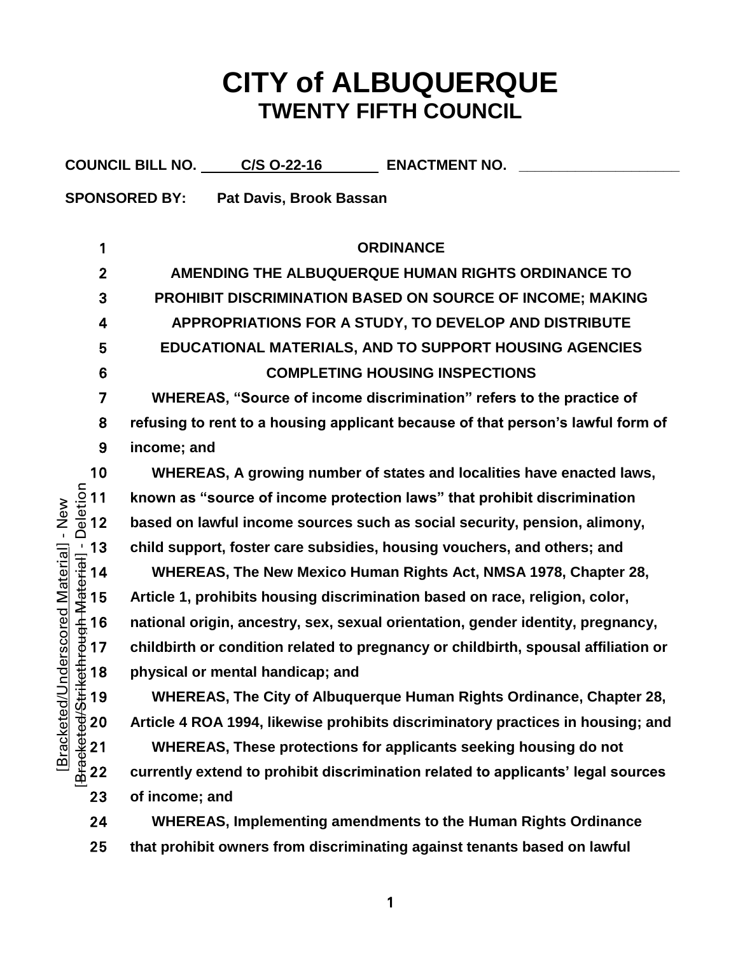## **CITY of ALBUQUERQUE TWENTY FIFTH COUNCIL**

|                                                                                                                                                                                                                               | COUNCIL BILL NO. C/S 0-22-16<br><b>ENACTMENT NO.</b>                               |
|-------------------------------------------------------------------------------------------------------------------------------------------------------------------------------------------------------------------------------|------------------------------------------------------------------------------------|
|                                                                                                                                                                                                                               | <b>SPONSORED BY:</b><br>Pat Davis, Brook Bassan                                    |
|                                                                                                                                                                                                                               |                                                                                    |
| 1                                                                                                                                                                                                                             | <b>ORDINANCE</b>                                                                   |
| $\boldsymbol{2}$                                                                                                                                                                                                              | AMENDING THE ALBUQUERQUE HUMAN RIGHTS ORDINANCE TO                                 |
| 3                                                                                                                                                                                                                             | PROHIBIT DISCRIMINATION BASED ON SOURCE OF INCOME; MAKING                          |
| 4                                                                                                                                                                                                                             | APPROPRIATIONS FOR A STUDY, TO DEVELOP AND DISTRIBUTE                              |
| 5                                                                                                                                                                                                                             | EDUCATIONAL MATERIALS, AND TO SUPPORT HOUSING AGENCIES                             |
| $6\phantom{1}6$                                                                                                                                                                                                               | <b>COMPLETING HOUSING INSPECTIONS</b>                                              |
| 7                                                                                                                                                                                                                             | WHEREAS, "Source of income discrimination" refers to the practice of               |
| 8                                                                                                                                                                                                                             | refusing to rent to a housing applicant because of that person's lawful form of    |
| 9                                                                                                                                                                                                                             | income; and                                                                        |
| 10                                                                                                                                                                                                                            | WHEREAS, A growing number of states and localities have enacted laws,              |
| ndied=1 1 2 3 4 5 5 6 7 8 4 5 5 6 7 8 9 4 5 5 6 7 8 9 4 5 5 6 7 8 9 4 5 5 6 7 8 9 4 5 6 7 8 9 4 5 6 7 8 9 4 5 6 7 8 9 4 5 6 7 8 9 5 6 7 8 9 5 6 7 8 9 5 6 7 9 5 6 7 9 8 9 5 7 9 8 9 5 7 9 8 9 5 7 9 8 9 5 7 9 8 9 5 7 9 8 9 5 | known as "source of income protection laws" that prohibit discrimination           |
| New<br>$\mathbf{I}$                                                                                                                                                                                                           | based on lawful income sources such as social security, pension, alimony,          |
|                                                                                                                                                                                                                               | child support, foster care subsidies, housing vouchers, and others; and            |
|                                                                                                                                                                                                                               | WHEREAS, The New Mexico Human Rights Act, NMSA 1978, Chapter 28,                   |
| nderscored Material]                                                                                                                                                                                                          | Article 1, prohibits housing discrimination based on race, religion, color,        |
|                                                                                                                                                                                                                               | national origin, ancestry, sex, sexual orientation, gender identity, pregnancy,    |
|                                                                                                                                                                                                                               | childbirth or condition related to pregnancy or childbirth, spousal affiliation or |
|                                                                                                                                                                                                                               | physical or mental handicap; and                                                   |
| 19                                                                                                                                                                                                                            | WHEREAS, The City of Albuquerque Human Rights Ordinance, Chapter 28,               |
| Bracketed/Stri<br><b>Bracketed/L</b><br>20                                                                                                                                                                                    | Article 4 ROA 1994, likewise prohibits discriminatory practices in housing; and    |
| 21                                                                                                                                                                                                                            | WHEREAS, These protections for applicants seeking housing do not                   |
| 22                                                                                                                                                                                                                            | currently extend to prohibit discrimination related to applicants' legal sources   |
| 23                                                                                                                                                                                                                            | of income; and                                                                     |
| 24                                                                                                                                                                                                                            | <b>WHEREAS, Implementing amendments to the Human Rights Ordinance</b>              |
| 25                                                                                                                                                                                                                            | that prohibit owners from discriminating against tenants based on lawful           |
|                                                                                                                                                                                                                               |                                                                                    |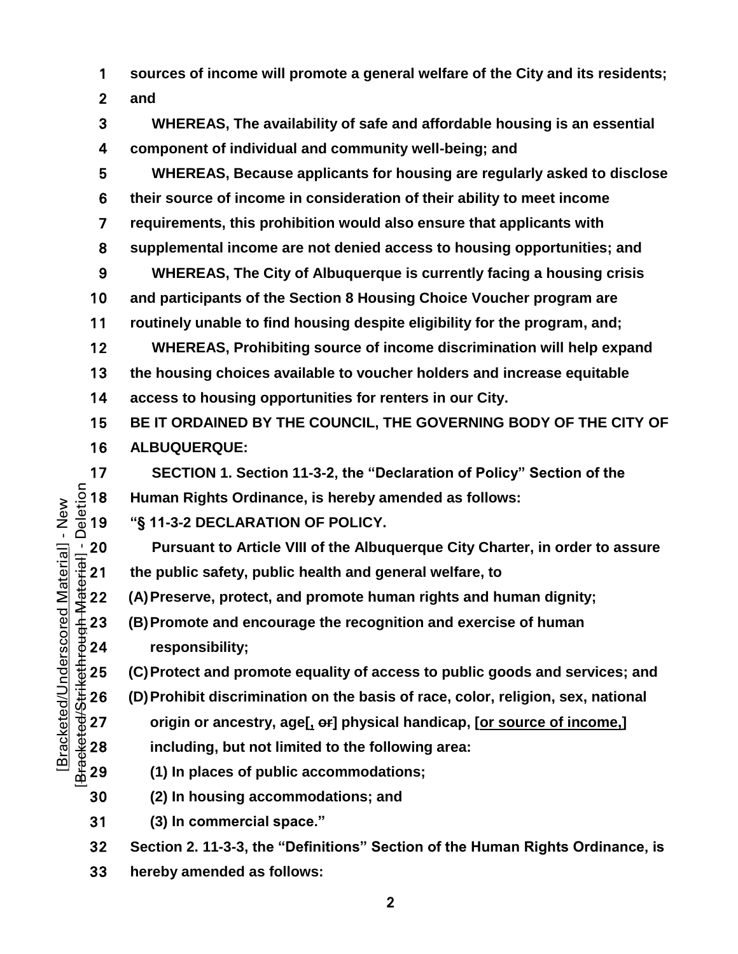**sources of income will promote a general welfare of the City and its residents;** 

**and** 

**WHEREAS, The availability of safe and affordable housing is an essential component of individual and community well-being; and WHEREAS, Because applicants for housing are regularly asked to disclose their source of income in consideration of their ability to meet income requirements, this prohibition would also ensure that applicants with supplemental income are not denied access to housing opportunities; and WHEREAS, The City of Albuquerque is currently facing a housing crisis and participants of the Section 8 Housing Choice Voucher program are routinely unable to find housing despite eligibility for the program, and; WHEREAS, Prohibiting source of income discrimination will help expand the housing choices available to voucher holders and increase equitable access to housing opportunities for renters in our City. BE IT ORDAINED BY THE COUNCIL, THE GOVERNING BODY OF THE CITY OF ALBUQUERQUE: SECTION 1. Section 11-3-2, the "Declaration of Policy" Section of the<br>**  $\frac{5}{8}$  **18 Human Rights Ordinance, is hereby amended as follows:<br>**  $\frac{6}{8}$  **19 <b>''S 11-3-2 DECLARATION OF POLICY. Human Rights Ordinance, is hereby amended as follows: "§ 11-3-2 DECLARATION OF POLICY. Pursuant to Article VIII of the Albuquerque City Charter, in order to assure**<br>  $\frac{1}{2}$  21 the public safety, public health and general welfare, to<br>
(A) Preserve, protect, and promote human rights and human dignity;<br>  $\$ **the public safety, public health and general welfare, to (A)Preserve, protect, and promote human rights and human dignity; (B)Promote and encourage the recognition and exercise of human responsibility; (C)Protect and promote equality of access to public goods and services; and**<br>  $\frac{4}{30}$  26 **(D)Prohibit discrimination on the basis of race, color, religion, sex, national<br>
origin or ancestry, age[1 er] physical hand (D)Prohibit discrimination on the basis of race, color, religion, sex, national origin or ancestry, age[, or] physical handicap, [or source of income,] including, but not limited to the following area: (1) In places of public accommodations; (2) In housing accommodations; and (3) In commercial space." Section 2. 11-3-3, the "Definitions" Section of the Human Rights Ordinance, is** 

**hereby amended as follows:**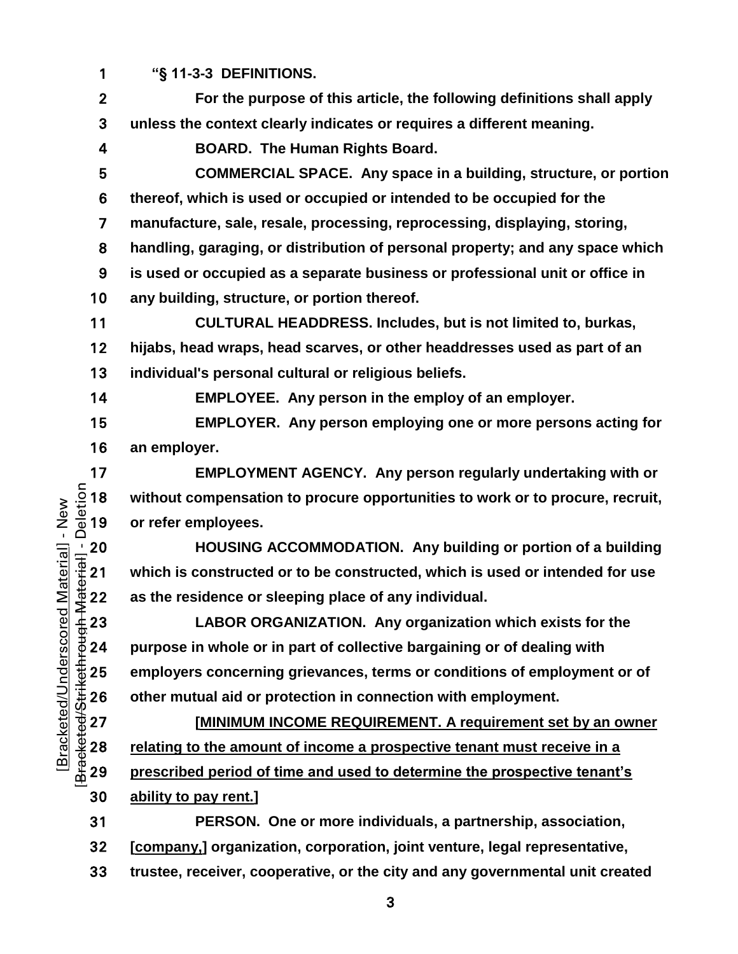**"§ 11-3-3 DEFINITIONS.**

**For the purpose of this article, the following definitions shall apply unless the context clearly indicates or requires a different meaning.**

**BOARD. The Human Rights Board.**

**COMMERCIAL SPACE. Any space in a building, structure, or portion thereof, which is used or occupied or intended to be occupied for the manufacture, sale, resale, processing, reprocessing, displaying, storing,** 

**handling, garaging, or distribution of personal property; and any space which** 

**is used or occupied as a separate business or professional unit or office in any building, structure, or portion thereof.**

**CULTURAL HEADDRESS. Includes, but is not limited to, burkas, hijabs, head wraps, head scarves, or other headdresses used as part of an individual's personal cultural or religious beliefs.**

**EMPLOYEE. Any person in the employ of an employer.**

**EMPLOYER. Any person employing one or more persons acting for an employer.**

**EMPLOYMENT AGENCY.** Any person regularly undertaking with or<br>  $\frac{5}{4}$  18 without compensation to procure opportunities to work or to procure, recruit,<br>  $\frac{6}{4}$  19 or refer employees. without compensation to procure opportunities to work or to procure, recruit, or refer employees.

HOUSING ACCOMMODATION. Any building or portion of a building<br>  $\frac{1}{2}$  21 which is constructed or to be constructed, which is used or intended for use<br>
as the residence or sleeping place of any individual.<br>
423 LABOR ORGA **which is constructed or to be constructed, which is used or intended for use**  as the residence or sleeping place of any individual.

**LABOR ORGANIZATION. Any organization which exists for the purpose in whole or in part of collective bargaining or of dealing with other mutual aid or protection in connection with employment.**

the 25 employers concerning grievances, terms or conditions of employment or of<br>
225 other mutual aid or protection in connection with employment.<br>
227 **EMINIMUM INCOME REQUIREMENT. A requirement set by an owner**<br>
228 <u>r</u> **[MINIMUM INCOME REQUIREMENT. A requirement set by an owner** relating to the amount of income a prospective tenant must receive in a **prescribed period of time and used to determine the prospective tenant's ability to pay rent.]**

**PERSON. One or more individuals, a partnership, association, [company,] organization, corporation, joint venture, legal representative, trustee, receiver, cooperative, or the city and any governmental unit created**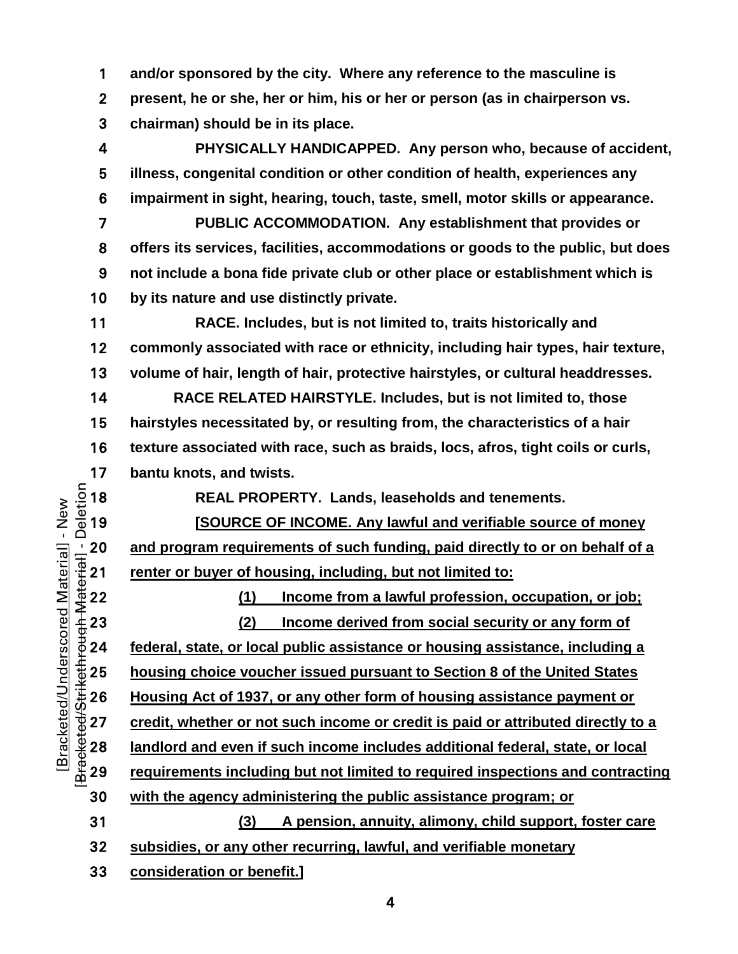**and/or sponsored by the city. Where any reference to the masculine is** 

**present, he or she, her or him, his or her or person (as in chairperson vs.** 

**chairman) should be in its place.**

**PHYSICALLY HANDICAPPED. Any person who, because of accident, illness, congenital condition or other condition of health, experiences any impairment in sight, hearing, touch, taste, smell, motor skills or appearance.**

**PUBLIC ACCOMMODATION. Any establishment that provides or offers its services, facilities, accommodations or goods to the public, but does not include a bona fide private club or other place or establishment which is by its nature and use distinctly private.**

**RACE. Includes, but is not limited to, traits historically and commonly associated with race or ethnicity, including hair types, hair texture, volume of hair, length of hair, protective hairstyles, or cultural headdresses.**

**RACE RELATED HAIRSTYLE. Includes, but is not limited to, those hairstyles necessitated by, or resulting from, the characteristics of a hair texture associated with race, such as braids, locs, afros, tight coils or curls,** 

**REAL PROPERTY. Lands, leaseholds and tenements.**

17 **bantu knots, and twists.**<br>  $\frac{5}{8}$  18 **REAL PROPER**<br>  $\frac{1}{8}$  19 **ISOURCE OF II [SOURCE OF INCOME. Any lawful and verifiable source of money**  renter or buyer of housing, including, but not limited to:

<sup>1</sup>/<sub>1</sub> 20 and program requirements of such funding, paid directly to or on behalf of a<br>  $\frac{1}{3}$  21 renter or buyer of housing, including, but not limited to:<br>  $\frac{1}{3}$  22 (1) Income from a lawful profession, occupatio **(1) Income from a lawful profession, occupation, or job; (2) Income derived from social security or any form of federal, state, or local public assistance or housing assistance, including a housing choice voucher issued pursuant to Section 8 of the United States**<br>  $\frac{4}{30}$  26 **Housing Act of 1937, or any other form of housing assistance payment or**<br>  $\frac{4}{30}$  27 **credit, whether or not such income or cred Housing Act of 1937, or any other form of housing assistance payment or credit, whether or not such income or credit is paid or attributed directly to a**  landlord and even if such income includes additional federal, state, or local **requirements including but not limited to required inspections and contracting with the agency administering the public assistance program; or (3) A pension, annuity, alimony, child support, foster care subsidies, or any other recurring, lawful, and verifiable monetary**

**consideration or benefit.]**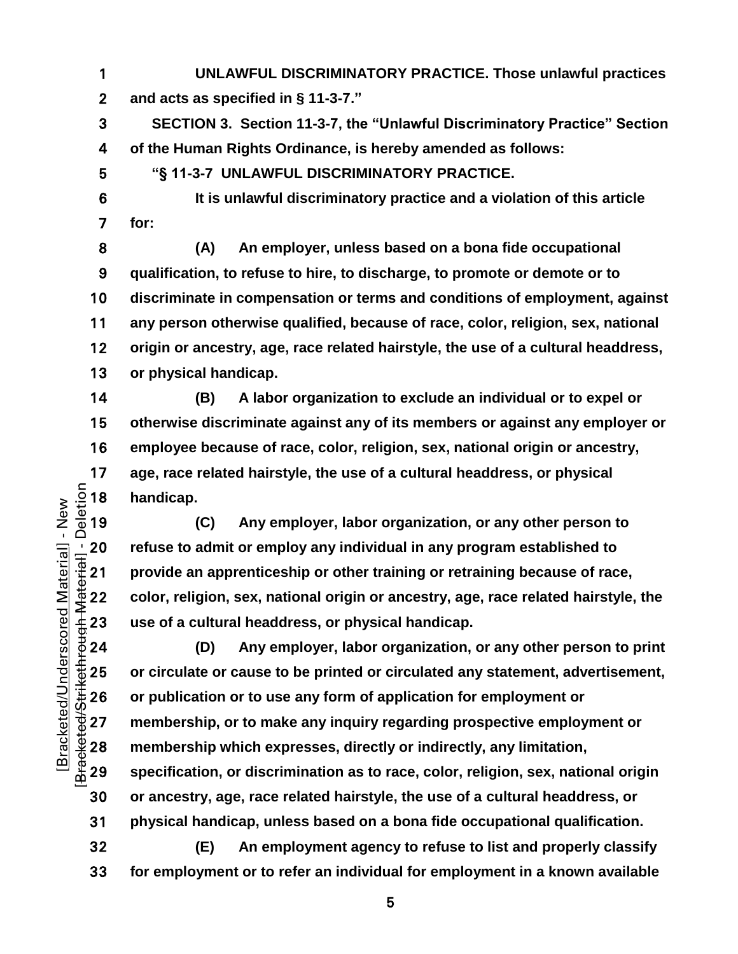- **UNLAWFUL DISCRIMINATORY PRACTICE. Those unlawful practices and acts as specified in § 11-3-7."**
- **SECTION 3. Section 11-3-7, the "Unlawful Discriminatory Practice" Section of the Human Rights Ordinance, is hereby amended as follows:**
- **"§ 11-3-7 UNLAWFUL DISCRIMINATORY PRACTICE.**
- **It is unlawful discriminatory practice and a violation of this article for:**
- **(A) An employer, unless based on a bona fide occupational qualification, to refuse to hire, to discharge, to promote or demote or to discriminate in compensation or terms and conditions of employment, against any person otherwise qualified, because of race, color, religion, sex, national origin or ancestry, age, race related hairstyle, the use of a cultural headdress, or physical handicap.**
- **(B) A labor organization to exclude an individual or to expel or otherwise discriminate against any of its members or against any employer or employee because of race, color, religion, sex, national origin or ancestry,**  17 age, race related hairstyle, the use of a cultural headdress, or physical<br>  $\frac{5}{8}$  18 handicap.<br>
(C) Any employer, labor organization, or any other person to handicap.
- **(C) Any employer, labor organization, or any other person to**  Prefuse to admit or employ any individual in any program established to<br>
The 21 provide an apprenticeship or other training or retraining because of rac<br>
22 color, religion, sex, national origin or ancestry, age, race rel **provide an apprenticeship or other training or retraining because of race, color, religion, sex, national origin or ancestry, age, race related hairstyle, the use of a cultural headdress, or physical handicap.**
- **(D) Any employer, labor organization, or any other person to print**  25 or circulate or cause to be printed or circulated any statement, advertisement,<br>
26 or publication or to use any form of application for employment or<br>
27 membership, or to make any inquiry regarding prospective employ **or publication or to use any form of application for employment or**  membership, or to make any inquiry regarding prospective employment or **membership which expresses, directly or indirectly, any limitation, specification, or discrimination as to race, color, religion, sex, national origin or ancestry, age, race related hairstyle, the use of a cultural headdress, or physical handicap, unless based on a bona fide occupational qualification.**
	- **(E) An employment agency to refuse to list and properly classify for employment or to refer an individual for employment in a known available**

 $\sim$  5  $\sim$  5  $\sim$  5  $\sim$  5  $\sim$  5  $\sim$  5  $\sim$  5  $\sim$  5  $\sim$  5  $\sim$  5  $\sim$  5  $\sim$  5  $\sim$  5  $\sim$  5  $\sim$  5  $\sim$  5  $\sim$  5  $\sim$  5  $\sim$  5  $\sim$  5  $\sim$  5  $\sim$  5  $\sim$  5  $\sim$  5  $\sim$  5  $\sim$  5  $\sim$  5  $\sim$  5  $\sim$  5  $\sim$  5  $\sim$  5  $\sim$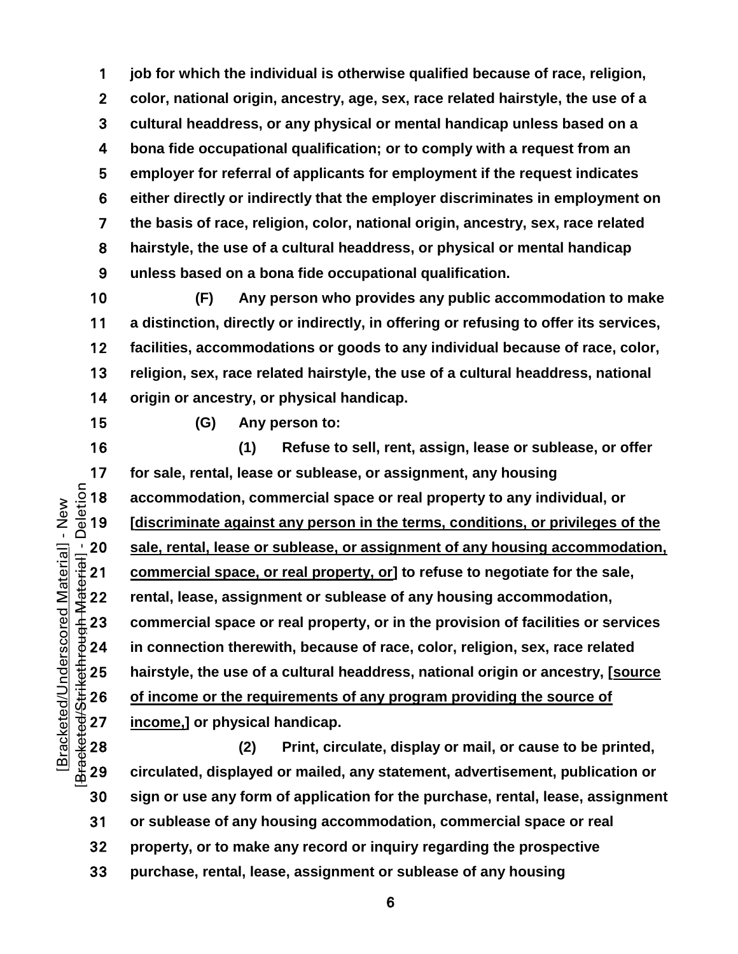**job for which the individual is otherwise qualified because of race, religion, color, national origin, ancestry, age, sex, race related hairstyle, the use of a cultural headdress, or any physical or mental handicap unless based on a bona fide occupational qualification; or to comply with a request from an employer for referral of applicants for employment if the request indicates either directly or indirectly that the employer discriminates in employment on the basis of race, religion, color, national origin, ancestry, sex, race related hairstyle, the use of a cultural headdress, or physical or mental handicap unless based on a bona fide occupational qualification.**

**(F) Any person who provides any public accommodation to make a distinction, directly or indirectly, in offering or refusing to offer its services, facilities, accommodations or goods to any individual because of race, color, religion, sex, race related hairstyle, the use of a cultural headdress, national origin or ancestry, or physical handicap.**

[Bracketed/Underscored Material] - New [Bracketed/Strikethrough Material] - Deletion

Bracketed/Underscored Material] - New

**(G) Any person to:**

**(1) Refuse to sell, rent, assign, lease or sublease, or offer**  17 for sale, rental, lease or sublease, or assignment, any housing<br>  $\frac{5}{8}$  18 accommodation, commercial space or real property to any indi<br>  $\frac{5}{8}$  19 [discriminate against any person in the terms, conditions, or prop **accommodation, commercial space or real property to any individual, or [discriminate against any person in the terms, conditions, or privileges of the**  20 sale, rental, lease or sublease, or assignment of any housing accommodation,<br>  $\frac{1}{3}$  21 commercial space, or real property, or] to refuse to negotiate for the sale,<br>
22 rental, lease, assignment or sublease of any h **commercial space, or real property, or] to refuse to negotiate for the sale, rental, lease, assignment or sublease of any housing accommodation, commercial space or real property, or in the provision of facilities or services in connection therewith, because of race, color, religion, sex, race related hairstyle, the use of a cultural headdress, national origin or ancestry, [source**<br>
25 **of income or the requirements of any program providing the source of<br>
27 <b>income,]** or physical handicap.<br>
28 (2) Print, circul **of income or the requirements of any program providing the source of**  income,] or physical handicap.

**(2) Print, circulate, display or mail, or cause to be printed, circulated, displayed or mailed, any statement, advertisement, publication or sign or use any form of application for the purchase, rental, lease, assignment or sublease of any housing accommodation, commercial space or real property, or to make any record or inquiry regarding the prospective purchase, rental, lease, assignment or sublease of any housing** 

 $\overline{6}$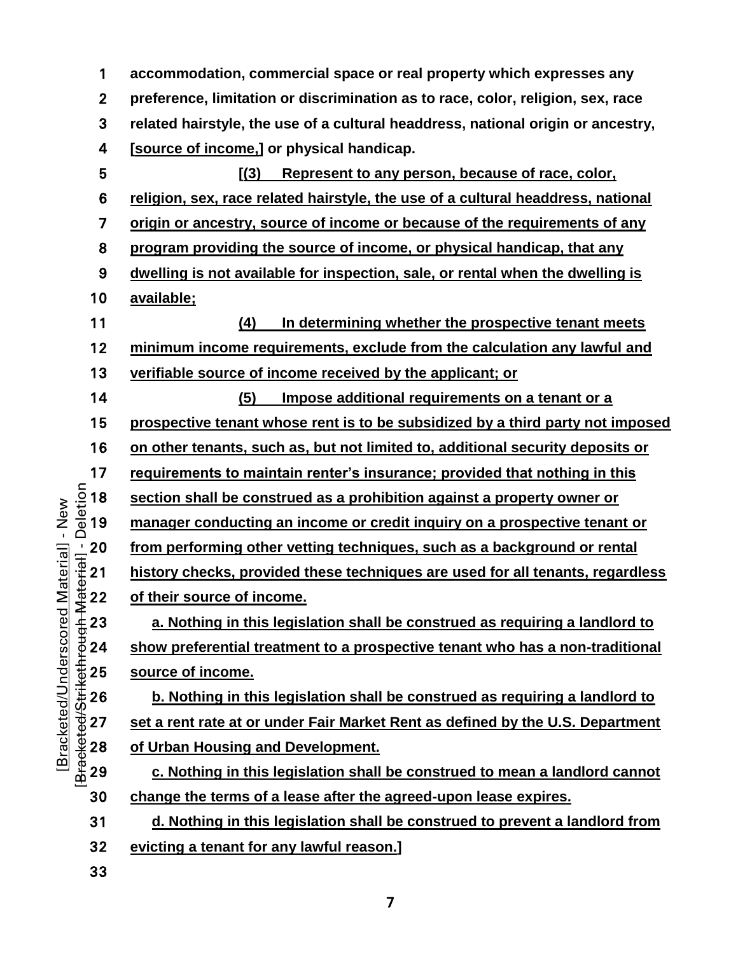**accommodation, commercial space or real property which expresses any preference, limitation or discrimination as to race, color, religion, sex, race related hairstyle, the use of a cultural headdress, national origin or ancestry, [source of income,] or physical handicap.**

[Bracketed/Strikethrough Material] - Deletion **[(3) Represent to any person, because of race, color, religion, sex, race related hairstyle, the use of a cultural headdress, national origin or ancestry, source of income or because of the requirements of any program providing the source of income, or physical handicap, that any dwelling is not available for inspection, sale, or rental when the dwelling is available; (4) In determining whether the prospective tenant meets minimum income requirements, exclude from the calculation any lawful and verifiable source of income received by the applicant; or (5) Impose additional requirements on a tenant or a prospective tenant whose rent is to be subsidized by a third party not imposed on other tenants, such as, but not limited to, additional security deposits or requirements to maintain renter's insurance; provided that nothing in this section shall be construed as a prohibition against a property owner or manager conducting an income or credit inquiry on a prospective tenant or**  <sup>1</sup>/<sub>11</sub> 20 from performing other vetting techniques, such as a background or rental<br>  $\frac{1}{2}$  21 history checks, provided these techniques are used for all tenants, regard<br>  $\frac{1}{2}$  22 of their source of income.<br>
23 a. **history checks, provided these techniques are used for all tenants, regardless**  of their source of income.

a. Nothing in this legislation shall be construed as requiring a landlord to show preferential treatment to a prospective tenant who has a non-traditional

 $\begin{array}{ll}\n\text{\textsterling} 25} & \text{source of income.} \\
\text{\textsterling} 26} & \text{b. Nothing in the} \\
\text{\textsterling} 27} & \text{set a rent rate at on} \\
\text{\textsterling} 28} & \text{of Urban Housing} \\
\text{\textsterling} 29} & \text{c. Nothing in the} \\
\end{array}$ **b. Nothing in this legislation shall be construed as requiring a landlord to set a rent rate at or under Fair Market Rent as defined by the U.S. Department of Urban Housing and Development.**

c. Nothing in this legislation shall be construed to mean a landlord cannot **change the terms of a lease after the agreed-upon lease expires.**

**d. Nothing in this legislation shall be construed to prevent a landlord from** 

**evicting a tenant for any lawful reason.]**

[Bracketed/Underscored Material] - New

Bracketed/Underscored Material] - New

Deletion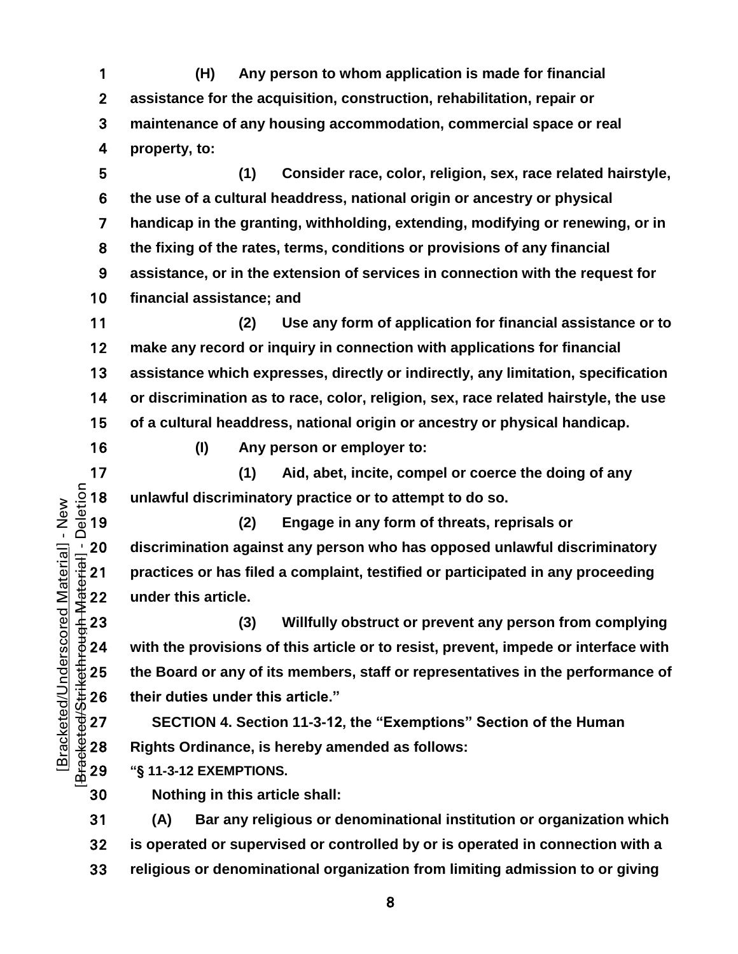**(H) Any person to whom application is made for financial assistance for the acquisition, construction, rehabilitation, repair or maintenance of any housing accommodation, commercial space or real property, to:**

**(1) Consider race, color, religion, sex, race related hairstyle, the use of a cultural headdress, national origin or ancestry or physical handicap in the granting, withholding, extending, modifying or renewing, or in the fixing of the rates, terms, conditions or provisions of any financial assistance, or in the extension of services in connection with the request for financial assistance; and**

**(2) Use any form of application for financial assistance or to make any record or inquiry in connection with applications for financial assistance which expresses, directly or indirectly, any limitation, specification or discrimination as to race, color, religion, sex, race related hairstyle, the use of a cultural headdress, national origin or ancestry or physical handicap.**

**(I) Any person or employer to:**

17 (1) Aid, abet, incite, compel or coerce the doing of any<br>  $\frac{5}{8}$  18 unlawful discriminatory practice or to attempt to do so.<br>  $\frac{6}{8}$  19 (2) Engage in any form of threats, reprisals or **unlawful discriminatory practice or to attempt to do so.**

**(2) Engage in any form of threats, reprisals or**  <sup>1</sup>/20 discrimination against any person who has opposed unlawful discriminatory<br>  $\frac{1}{3}$  21 practices or has filed a complaint, testified or participated in any proceeding<br>  $\frac{1}{3}$  22 under this article.<br>
23 (3) Will **practices or has filed a complaint, testified or participated in any proceeding under this article.**

**(3) Willfully obstruct or prevent any person from complying with the provisions of this article or to resist, prevent, impede or interface with**  the Board or any of its members, staff or representatives in the performance of<br>  $\begin{array}{l}\n\text{the 26} \\
\text{the 27} \\
\text{the 30} \\
\text{the 40} \\
\text{the 50} \\
\text{the 60} \\
\text{the 70} \\
\text{the 80} \\
\text{the 70} \\
\text{the 80} \\
\text{the 70} \\
\text{the 70} \\
\text{the 70} \\
\text{the 70} \\
\text{the 7$ **their duties under this article."**

**SECTION 4. Section 11-3-12, the "Exemptions" Section of the Human Rights Ordinance, is hereby amended as follows:** 

**"§ 11-3-12 EXEMPTIONS.**

**Nothing in this article shall:**

**(A) Bar any religious or denominational institution or organization which is operated or supervised or controlled by or is operated in connection with a religious or denominational organization from limiting admission to or giving**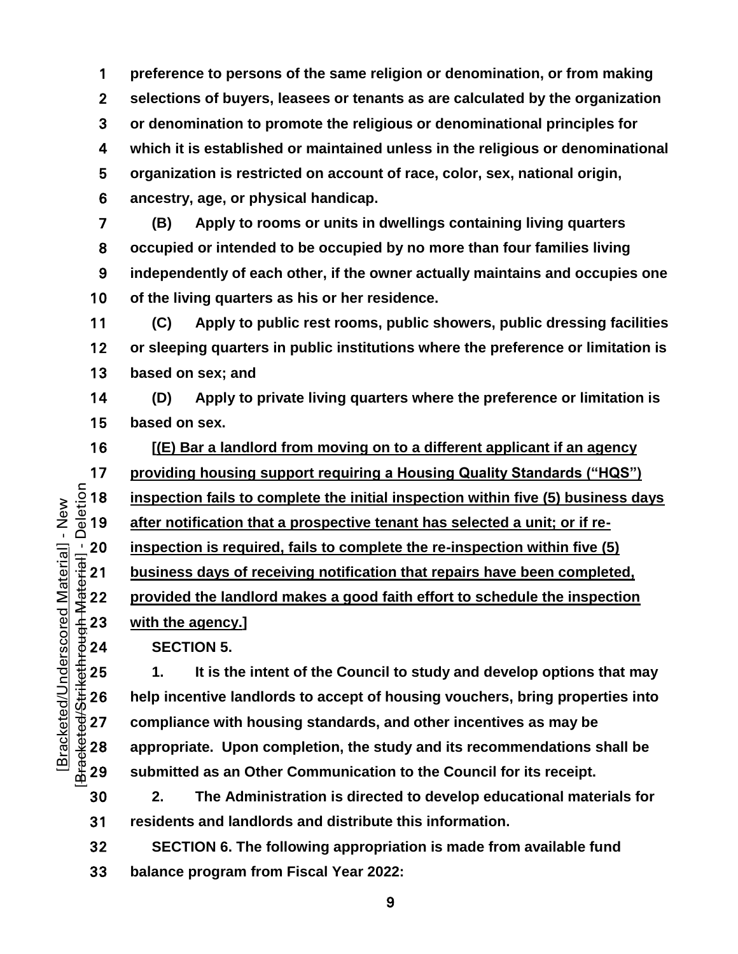**preference to persons of the same religion or denomination, or from making selections of buyers, leasees or tenants as are calculated by the organization or denomination to promote the religious or denominational principles for which it is established or maintained unless in the religious or denominational organization is restricted on account of race, color, sex, national origin, ancestry, age, or physical handicap.**

**(B) Apply to rooms or units in dwellings containing living quarters occupied or intended to be occupied by no more than four families living independently of each other, if the owner actually maintains and occupies one of the living quarters as his or her residence.**

**(C) Apply to public rest rooms, public showers, public dressing facilities or sleeping quarters in public institutions where the preference or limitation is based on sex; and**

**(D) Apply to private living quarters where the preference or limitation is based on sex.**

**[(E) Bar a landlord from moving on to a different applicant if an agency** 

17 **providing housing support requiring a Housing Quality Standards ("HQS")**<br>  $\frac{5}{2}$  18 **inspection fails to complete the initial inspection within five (5) business da<br>**  $\frac{3}{2}$  **19 <b>after notification that a prospecti** inspection fails to complete the initial inspection within five (5) business days

after notification that a prospective tenant has selected a unit; or if re-

**business days of receiving notification that repairs have been completed,** 

<sup>1</sup>/20 **inspection is required, fails to complete the re-inspection within five (5)**<br>  $\frac{1}{100}$  **21 business days of receiving notification that repairs have been completed<br>
22 <b>provided the landlord makes a good fait provided the landlord makes a good faith effort to schedule the inspection** 

with the agency.]

**SECTION 5.** 

1. It is the intent of the Council to study and develop options that may<br>  $\frac{4}{30}$  26 help incentive landlords to accept of housing vouchers, bring properties into<br>  $\frac{4}{9}$  27 compliance with housing standards, and oth **help incentive landlords to accept of housing vouchers, bring properties into compliance with housing standards, and other incentives as may be appropriate. Upon completion, the study and its recommendations shall be submitted as an Other Communication to the Council for its receipt.** 

**2. The Administration is directed to develop educational materials for residents and landlords and distribute this information.**

**SECTION 6. The following appropriation is made from available fund balance program from Fiscal Year 2022:**